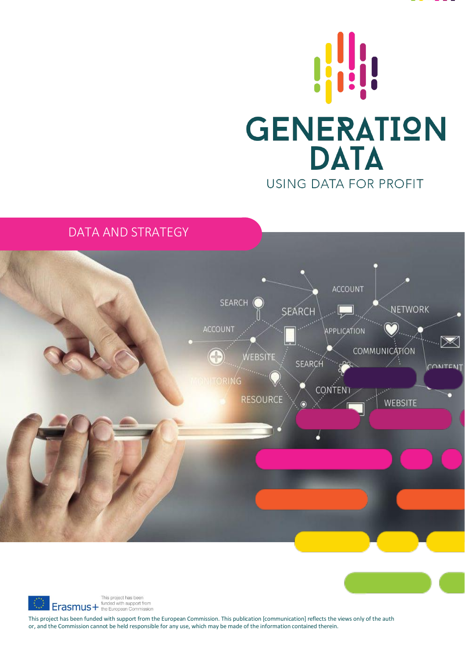



# DATA AND STRATEGY





This project has been funded with support from the European Commission. This publication [communication] reflects the views only of the auth or, and the Commission cannot be held responsible for any use, which may be made of the information contained therein.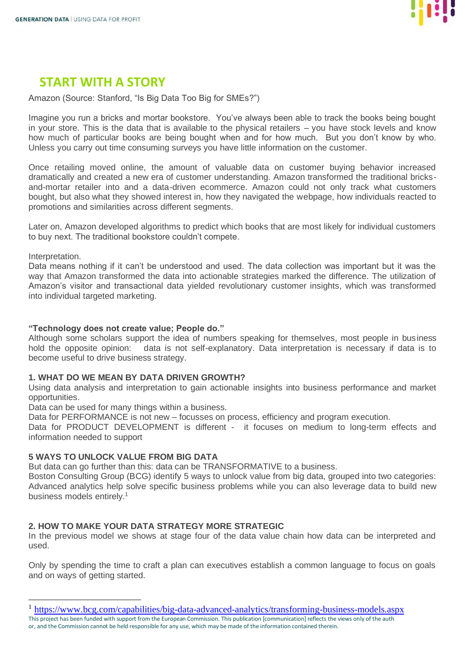

# **START WITH A STORY**

Amazon (Source: Stanford, "Is Big Data Too Big for SMEs?")

Imagine you run a bricks and mortar bookstore. You've always been able to track the books being bought in your store. This is the data that is available to the physical retailers – you have stock levels and know how much of particular books are being bought when and for how much. But you don't know by who. Unless you carry out time consuming surveys you have little information on the customer.

Once retailing moved online, the amount of valuable data on customer buying behavior increased dramatically and created a new era of customer understanding. Amazon transformed the traditional bricksand-mortar retailer into and a data-driven ecommerce. Amazon could not only track what customers bought, but also what they showed interest in, how they navigated the webpage, how individuals reacted to promotions and similarities across different segments.

Later on, Amazon developed algorithms to predict which books that are most likely for individual customers to buy next. The traditional bookstore couldn't compete.

Interpretation.

Data means nothing if it can't be understood and used. The data collection was important but it was the way that Amazon transformed the data into actionable strategies marked the difference. The utilization of Amazon's visitor and transactional data yielded revolutionary customer insights, which was transformed into individual targeted marketing.

### **"Technology does not create value; People do."**

Although some scholars support the idea of numbers speaking for themselves, most people in business hold the opposite opinion: data is not self-explanatory. Data interpretation is necessary if data is to become useful to drive business strategy.

### **1. WHAT DO WE MEAN BY DATA DRIVEN GROWTH?**

Using data analysis and interpretation to gain actionable insights into business performance and market opportunities.

Data can be used for many things within a business.

Data for PERFORMANCE is not new – focusses on process, efficiency and program execution.

Data for PRODUCT DEVELOPMENT is different - it focuses on medium to long-term effects and information needed to support

### **5 WAYS TO UNLOCK VALUE FROM BIG DATA**

But data can go further than this: data can be TRANSFORMATIVE to a business.

Boston Consulting Group (BCG) identify 5 ways to unlock value from big data, grouped into two categories: Advanced analytics help solve specific business problems while you can also leverage data to build new business models entirely.<sup>1</sup>

### **2. HOW TO MAKE YOUR DATA STRATEGY MORE STRATEGIC**

In the previous model we shows at stage four of the data value chain how data can be interpreted and used.

Only by spending the time to craft a plan can executives establish a common language to focus on goals and on ways of getting started.

or, and the Commission cannot be held responsible for any use, which may be made of the information contained therein.

This project has been funded with support from the European Commission. This publication [communication] reflects the views only of the auth <sup>1</sup> <https://www.bcg.com/capabilities/big-data-advanced-analytics/transforming-business-models.aspx>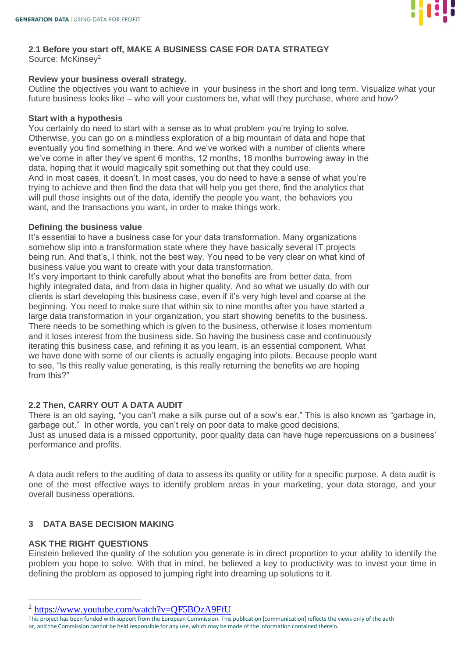

# **2.1 Before you start off, MAKE A BUSINESS CASE FOR DATA STRATEGY**

Source: McKinsey<sup>2</sup>

## **Review your business overall strategy.**

Outline the objectives you want to achieve in your business in the short and long term. Visualize what your future business looks like – who will your customers be, what will they purchase, where and how?

## **Start with a hypothesis**

You certainly do need to start with a sense as to what problem you're trying to solve. Otherwise, you can go on a mindless exploration of a big mountain of data and hope that eventually you find something in there. And we've worked with a number of clients where we've come in after they've spent 6 months, 12 months, 18 months burrowing away in the data, hoping that it would magically spit something out that they could use. And in most cases, it doesn't. In most cases, you do need to have a sense of what you're trying to achieve and then find the data that will help you get there, find the analytics that will pull those insights out of the data, identify the people you want, the behaviors you want, and the transactions you want, in order to make things work.

### **Defining the business value**

It's essential to have a business case for your data transformation. Many organizations somehow slip into a transformation state where they have basically several IT projects being run. And that's, I think, not the best way. You need to be very clear on what kind of business value you want to create with your data transformation.

It's very important to think carefully about what the benefits are from better data, from highly integrated data, and from data in higher quality. And so what we usually do with our clients is start developing this business case, even if it's very high level and coarse at the beginning. You need to make sure that within six to nine months after you have started a large data transformation in your organization, you start showing benefits to the business. There needs to be something which is given to the business, otherwise it loses momentum and it loses interest from the business side. So having the business case and continuously iterating this business case, and refining it as you learn, is an essential component. What we have done with some of our clients is actually engaging into pilots. Because people want to see, "Is this really value generating, is this really returning the benefits we are hoping from this?"

# **2.2 Then, CARRY OUT A DATA AUDIT**

There is an old saying, "you can't make a silk purse out of a sow's ear." This is also known as "garbage in, garbage out." In other words, you can't rely on poor data to make good decisions. Just as unused data is a missed opportunity, [poor quality data](https://en.wikipedia.org/wiki/Data_quality) can have huge repercussions on a business' performance and profits.

A data audit refers to the auditing of data to assess its quality or utility for a specific purpose. A data audit is one of the most effective ways to identify problem areas in your marketing, your data storage, and your overall business operations.

# **3 DATA BASE DECISION MAKING**

## **ASK THE RIGHT QUESTIONS**

Einstein believed the quality of the solution you generate is in direct proportion to your ability to identify the problem you hope to solve. With that in mind, he believed a key to productivity was to invest your time in defining the problem as opposed to jumping right into dreaming up solutions to it.

<sup>&</sup>lt;sup>2</sup> <https://www.youtube.com/watch?v=QF5BOzA9FfU>

This project has been funded with support from the European Commission. This publication [communication] reflects the views only of the auth or, and the Commission cannot be held responsible for any use, which may be made of the information contained therein.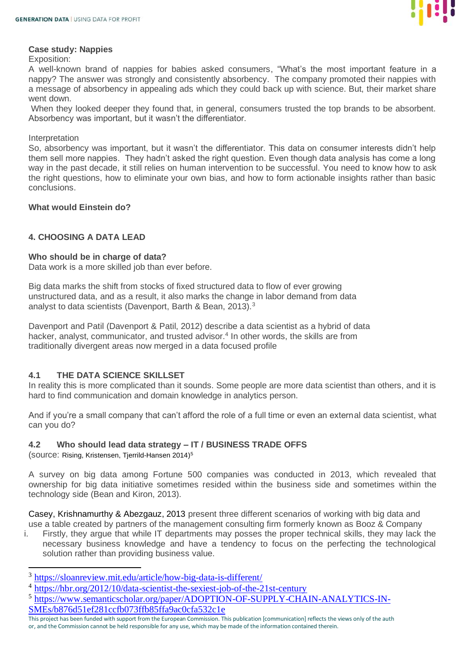

#### **Case study: Nappies**

Exposition:

A well-known brand of nappies for babies asked consumers, "What's the most important feature in a nappy? The answer was strongly and consistently absorbency. The company promoted their nappies with a message of absorbency in appealing ads which they could back up with science. But, their market share went down.

When they looked deeper they found that, in general, consumers trusted the top brands to be absorbent. Absorbency was important, but it wasn't the differentiator.

#### **Interpretation**

So, absorbency was important, but it wasn't the differentiator. This data on consumer interests didn't help them sell more nappies. They hadn't asked the right question. Even though data analysis has come a long way in the past decade, it still relies on human intervention to be successful. You need to know how to ask the right questions, how to eliminate your own bias, and how to form actionable insights rather than basic conclusions.

### **What would Einstein do?**

### **4. CHOOSING A DATA LEAD**

### **Who should be in charge of data?**

Data work is a more skilled job than ever before.

Big data marks the shift from stocks of fixed structured data to flow of ever growing unstructured data, and as a result, it also marks the change in labor demand from data analyst to data scientists (Davenport, Barth & Bean, 2013).<sup>3</sup>

Davenport and Patil (Davenport & Patil, 2012) describe a data scientist as a hybrid of data hacker, analyst, communicator, and trusted advisor.<sup>4</sup> In other words, the skills are from traditionally divergent areas now merged in a data focused profile

### **4.1 THE DATA SCIENCE SKILLSET**

In reality this is more complicated than it sounds. Some people are more data scientist than others, and it is hard to find communication and domain knowledge in analytics person.

And if you're a small company that can't afford the role of a full time or even an external data scientist, what can you do?

### **4.2 Who should lead data strategy – IT / BUSINESS TRADE OFFS**

(source: Rising, Kristensen, Tjerrild-Hansen 2014)<sup>5</sup>

A survey on big data among Fortune 500 companies was conducted in 2013, which revealed that ownership for big data initiative sometimes resided within the business side and sometimes within the technology side (Bean and Kiron, 2013).

Casey, Krishnamurthy & Abezgauz, 2013 present three different scenarios of working with big data and use a table created by partners of the management consulting firm formerly known as Booz & Company

i. Firstly, they argue that while IT departments may posses the proper technical skills, they may lack the necessary business knowledge and have a tendency to focus on the perfecting the technological solution rather than providing business value.

- <sup>4</sup> <https://hbr.org/2012/10/data-scientist-the-sexiest-job-of-the-21st-century>
- <sup>5</sup> [https://www.semanticscholar.org/paper/ADOPTION-OF-SUPPLY-CHAIN-ANALYTICS-IN-](https://www.semanticscholar.org/paper/ADOPTION-OF-SUPPLY-CHAIN-ANALYTICS-IN-SMEs/b876d51ef281ccfb073ffb85ffa9ac0cfa532c1e)[SMEs/b876d51ef281ccfb073ffb85ffa9ac0cfa532c1e](https://www.semanticscholar.org/paper/ADOPTION-OF-SUPPLY-CHAIN-ANALYTICS-IN-SMEs/b876d51ef281ccfb073ffb85ffa9ac0cfa532c1e)

<sup>3</sup> <https://sloanreview.mit.edu/article/how-big-data-is-different/>

This project has been funded with support from the European Commission. This publication [communication] reflects the views only of the auth or, and the Commission cannot be held responsible for any use, which may be made of the information contained therein.